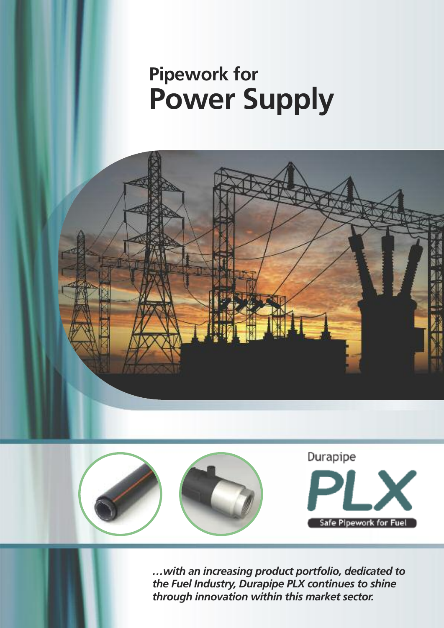# **Pipework for Power Supply**





*…with an increasing product portfolio, dedicated to the Fuel Industry, Durapipe PLX continues to shine through innovation within this market sector.*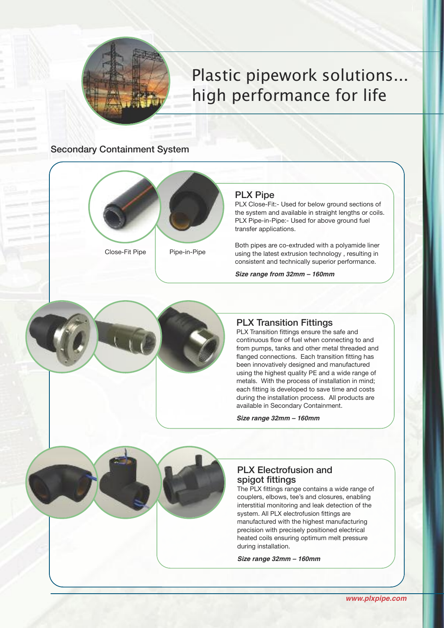

## Plastic pipework solutions... high performance for life

#### Secondary Containment System



Close-Fit Pipe Pipe-in-Pipe

#### PLX Pipe

PLX Close-Fit:- Used for below ground sections of the system and available in straight lengths or coils. PLX Pipe-in-Pipe:- Used for above ground fuel transfer applications.

Both pipes are co-extruded with a polyamide liner using the latest extrusion technology , resulting in consistent and technically superior performance.

*Size range from 32mm – 160mm*



#### PLX Transition Fittings

PLX Transition fittings ensure the safe and continuous flow of fuel when connecting to and from pumps, tanks and other metal threaded and flanged connections. Each transition fitting has been innovatively designed and manufactured using the highest quality PE and a wide range of metals. With the process of installation in mind; each fitting is developed to save time and costs during the installation process. All products are available in Secondary Containment.

*Size range 32mm – 160mm*

#### PLX Electrofusion and spigot fittings

The PLX fittings range contains a wide range of couplers, elbows, tee's and closures, enabling interstitial monitoring and leak detection of the system. All PLX electrofusion fittings are manufactured with the highest manufacturing precision with precisely positioned electrical heated coils ensuring optimum melt pressure during installation.

*Size range 32mm – 160mm*

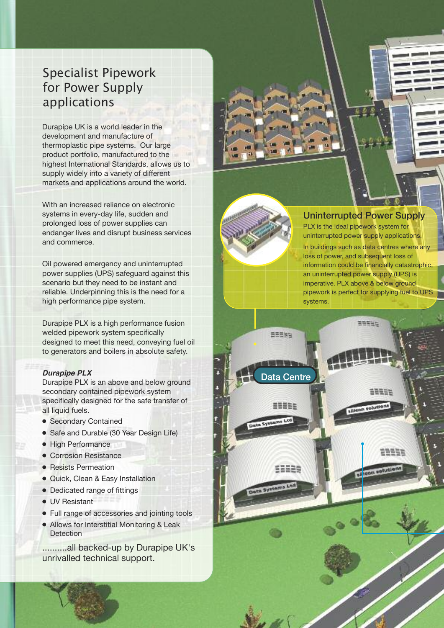### Specialist Pipework for Power Supply applications

Durapipe UK is a world leader in the development and manufacture of thermoplastic pipe systems. Our large product portfolio, manufactured to the highest International Standards, allows us to supply widely into a variety of different markets and applications around the world.

With an increased reliance on electronic systems in every-day life, sudden and prolonged loss of power supplies can endanger lives and disrupt business services and commerce.

Oil powered emergency and uninterrupted power supplies (UPS) safeguard against this scenario but they need to be instant and reliable. Underpinning this is the need for a high performance pipe system.

Durapipe PLX is a high performance fusion welded pipework system specifically designed to meet this need, conveying fuel oil to generators and boilers in absolute safety.

#### *Durapipe PLX*

Durapipe PLX is an above and below ground secondary contained pipework system specifically designed for the safe transfer of all liquid fuels.

- **●** Secondary Contained
- **●** Safe and Durable (30 Year Design Life)
- **●** High Performance
- **●** Corrosion Resistance
- **●** Resists Permeation
- **●** Quick, Clean & Easy Installation
- **●** Dedicated range of fittings
- **●** UV Resistant
- **●** Full range of accessories and jointing tools
- **●** Allows for Interstitial Monitoring & Leak Detection

..........all backed-up by Durapipe UK's unrivalled technical support.



ata Centre

**SEREE** 

52525

ten Systems Ltd

EEEES

#### Uninterrupted Power Supply

PLX is the ideal pipework system for uninterrupted power supply applications. In buildings such as data centres where any loss of power, and subsequent loss of information could be financially catastrophic, an uninterrupted power supply (UPS) is imperative. PLX above & below ground pipework is perfect for supplying fuel to UPS systems.

EEEEE

50931

**U**lcon soluti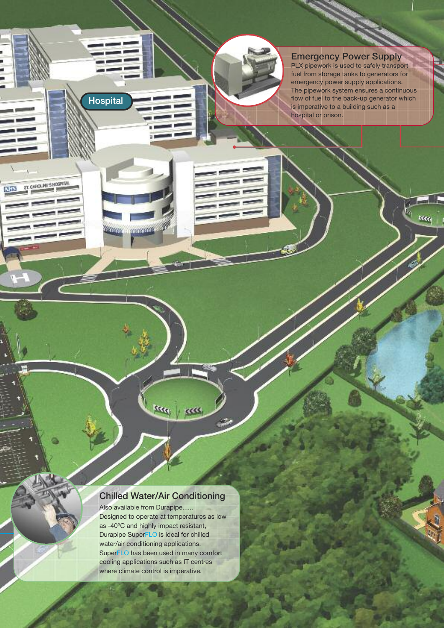#### Emergency Power Supply PLX pipework is used to safely transport fuel from storage tanks to generators for emergency power supply applications. The pipework system ensures a continuous flow of fuel to the back-up generator which is imperative to a building such as a hospital or prison.

Recq

#### Chilled Water/Air Conditioning

<sup>kkk</sup> kkk

W

manaran

**Breezer** 

Hospital

ST. CAROLINE'S HOSPITAL

NH<sub>3</sub>

Also available from Durapipe...... Designed to operate at temperatures as low as -40ºC and highly impact resistant, Durapipe SuperFLO is ideal for chilled water/air conditioning applications. SuperFLO has been used in many comfort cooling applications such as IT centres where climate control is imperative.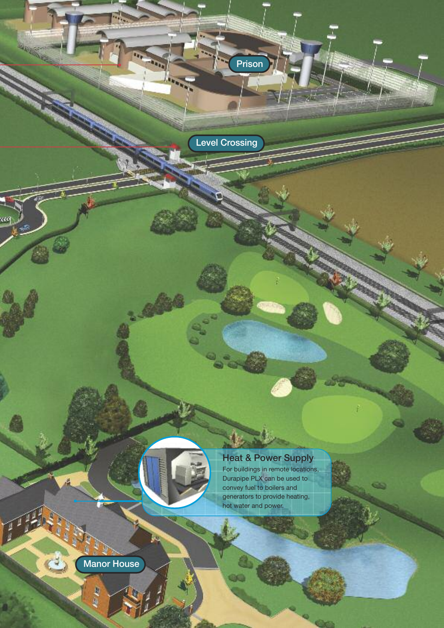Level Crossing

m,

Prison



### Heat & Power Supply

For buildings in remote locations, Durapipe PLX can be used to convey fuel to boilers and generators to provide heating, hot water and power.

œ

Manor House

**IE AE** 

œ